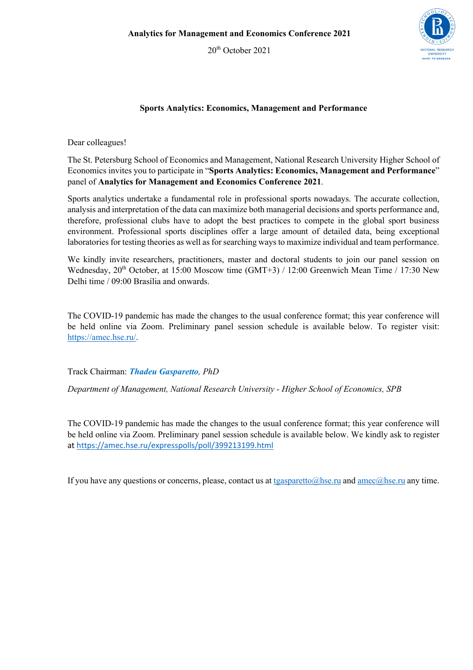20<sup>th</sup> October 2021



## **Sports Analytics: Economics, Management and Performance**

Dear colleagues!

The St. Petersburg School of Economics and Management, National Research University Higher School of Economics invites you to participate in "**Sports Analytics: Economics, Management and Performance**" panel of **Analytics for Management and Economics Conference 2021**.

Sports analytics undertake a fundamental role in professional sports nowadays. The accurate collection, analysis and interpretation of the data can maximize both managerial decisions and sports performance and, therefore, professional clubs have to adopt the best practices to compete in the global sport business environment. Professional sports disciplines offer a large amount of detailed data, being exceptional laboratories for testing theories as well as for searching ways to maximize individual and team performance.

We kindly invite researchers, practitioners, master and doctoral students to join our panel session on Wednesday,  $20^{th}$  October, at 15:00 Moscow time (GMT+3) / 12:00 Greenwich Mean Time / 17:30 New Delhi time / 09:00 Brasília and onwards.

The COVID-19 pandemic has made the changes to the usual conference format; this year conference will be held online via Zoom. Preliminary panel session schedule is available below. To register visit: https://amec.hse.ru/.

Track Chairman: *Thadeu Gasparetto, PhD*

*Department of Management, National Research University - Higher School of Economics, SPB* 

The COVID-19 pandemic has made the changes to the usual conference format; this year conference will be held online via Zoom. Preliminary panel session schedule is available below. We kindly ask to register at https://amec.hse.ru/expresspolls/poll/399213199.html

If you have any questions or concerns, please, contact us at tgasparetto@hse.ru and amec@hse.ru any time.